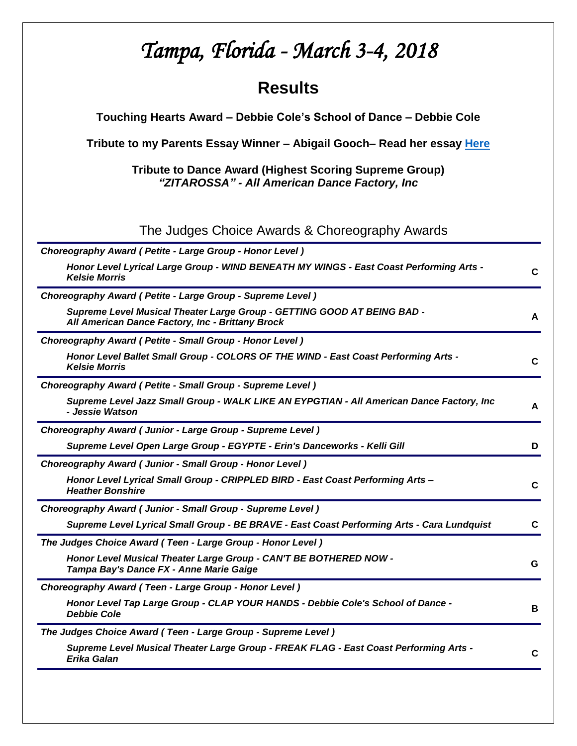# *Tampa, Florida - March 3-4, 2018*  **Results Touching Hearts Award – Debbie Cole's School of Dance – Debbie Cole Tribute to my Parents Essay Winner – Abigail Gooch– Read her essay [Here](http://tributetodance.com/wp-content/uploads/2018/03/tampaessay18.pdf) Tribute to Dance Award (Highest Scoring Supreme Group)**  *"ZITAROSSA" - All American Dance Factory, Inc* The Judges Choice Awards & Choreography Awards *Choreography Award ( Petite - Large Group - Honor Level ) Honor Level Lyrical Large Group - WIND BENEATH MY WINGS - East Coast Performing Arts - Kelsie Morris* **<sup>C</sup>** *Choreography Award ( Petite - Large Group - Supreme Level ) Supreme Level Musical Theater Large Group - GETTING GOOD AT BEING BAD - All American Dance Factory, Inc - Brittany Brock* **A** *Choreography Award ( Petite - Small Group - Honor Level ) Honor Level Ballet Small Group - COLORS OF THE WIND - East Coast Performing Arts - Kelsie Morris* **<sup>C</sup>** *Choreography Award ( Petite - Small Group - Supreme Level ) Supreme Level Jazz Small Group - WALK LIKE AN EYPGTIAN - All American Dance Factory, Inc - Jessie Watson* **<sup>A</sup>** *Choreography Award ( Junior - Large Group - Supreme Level ) Supreme Level Open Large Group - EGYPTE - Erin's Danceworks - Kelli Gill* **D** *Choreography Award ( Junior - Small Group - Honor Level ) Honor Level Lyrical Small Group - CRIPPLED BIRD - East Coast Performing Arts – Heather Bonshire* **<sup>C</sup>** *Choreography Award ( Junior - Small Group - Supreme Level ) Supreme Level Lyrical Small Group - BE BRAVE - East Coast Performing Arts - Cara Lundquist* **C** *The Judges Choice Award ( Teen - Large Group - Honor Level ) Honor Level Musical Theater Large Group - CAN'T BE BOTHERED NOW - Tampa Bay's Dance FX - Anne Marie Gaige* **<sup>G</sup>** *Choreography Award ( Teen - Large Group - Honor Level ) Honor Level Tap Large Group - CLAP YOUR HANDS - Debbie Cole's School of Dance - Debbie Cole* **<sup>B</sup>** *The Judges Choice Award ( Teen - Large Group - Supreme Level ) Supreme Level Musical Theater Large Group - FREAK FLAG - East Coast Performing Arts - Erika Galan* **<sup>C</sup>**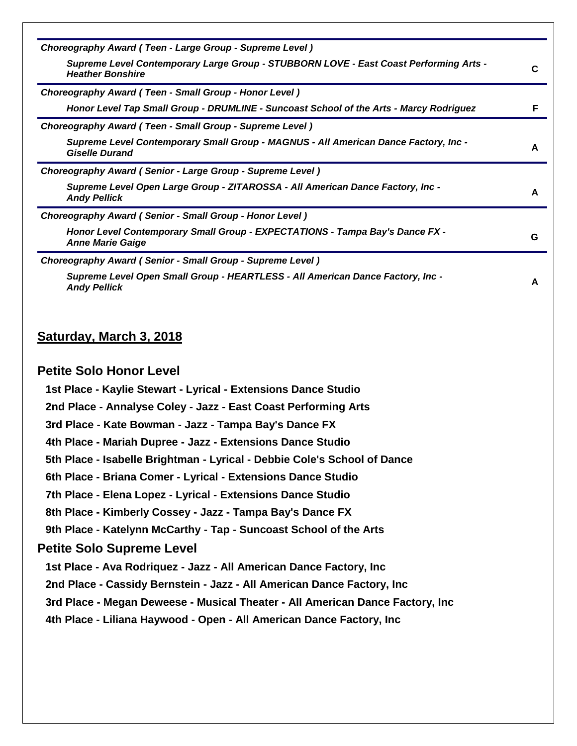| Choreography Award (Teen - Large Group - Supreme Level)                                                          |   |
|------------------------------------------------------------------------------------------------------------------|---|
| Supreme Level Contemporary Large Group - STUBBORN LOVE - East Coast Performing Arts -<br><b>Heather Bonshire</b> | C |
| Choreography Award (Teen - Small Group - Honor Level)                                                            |   |
| Honor Level Tap Small Group - DRUMLINE - Suncoast School of the Arts - Marcy Rodriguez                           | F |
| Choreography Award (Teen - Small Group - Supreme Level)                                                          |   |
| Supreme Level Contemporary Small Group - MAGNUS - All American Dance Factory, Inc -<br><b>Giselle Durand</b>     | A |
| Choreography Award (Senior - Large Group - Supreme Level)                                                        |   |
| Supreme Level Open Large Group - ZITAROSSA - All American Dance Factory, Inc -<br><b>Andy Pellick</b>            | A |
| Choreography Award (Senior - Small Group - Honor Level)                                                          |   |
| Honor Level Contemporary Small Group - EXPECTATIONS - Tampa Bay's Dance FX -<br><b>Anne Marie Gaige</b>          | G |
| Choreography Award (Senior - Small Group - Supreme Level)                                                        |   |
| Supreme Level Open Small Group - HEARTLESS - All American Dance Factory, Inc -<br><b>Andy Pellick</b>            | A |
|                                                                                                                  |   |
|                                                                                                                  |   |

## **Saturday, March 3, 2018**

#### **Petite Solo Honor Level**

**1st Place - Kaylie Stewart - Lyrical - Extensions Dance Studio**

**2nd Place - Annalyse Coley - Jazz - East Coast Performing Arts**

**3rd Place - Kate Bowman - Jazz - Tampa Bay's Dance FX**

**4th Place - Mariah Dupree - Jazz - Extensions Dance Studio**

**5th Place - Isabelle Brightman - Lyrical - Debbie Cole's School of Dance**

**6th Place - Briana Comer - Lyrical - Extensions Dance Studio**

**7th Place - Elena Lopez - Lyrical - Extensions Dance Studio**

**8th Place - Kimberly Cossey - Jazz - Tampa Bay's Dance FX**

**9th Place - Katelynn McCarthy - Tap - Suncoast School of the Arts**

## **Petite Solo Supreme Level**

**1st Place - Ava Rodriquez - Jazz - All American Dance Factory, Inc**

**2nd Place - Cassidy Bernstein - Jazz - All American Dance Factory, Inc**

**3rd Place - Megan Deweese - Musical Theater - All American Dance Factory, Inc**

**4th Place - Liliana Haywood - Open - All American Dance Factory, Inc**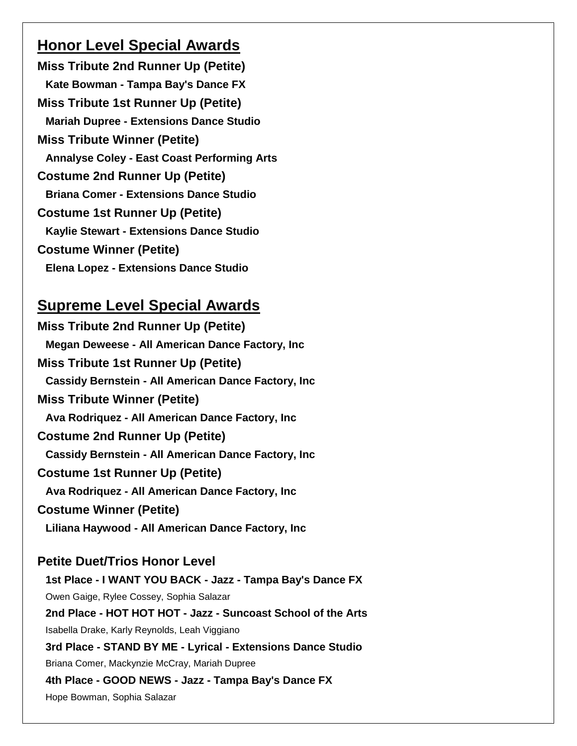## **Honor Level Special Awards**

**Miss Tribute 2nd Runner Up (Petite) Kate Bowman - Tampa Bay's Dance FX Miss Tribute 1st Runner Up (Petite) Mariah Dupree - Extensions Dance Studio Miss Tribute Winner (Petite) Annalyse Coley - East Coast Performing Arts Costume 2nd Runner Up (Petite) Briana Comer - Extensions Dance Studio Costume 1st Runner Up (Petite) Kaylie Stewart - Extensions Dance Studio Costume Winner (Petite) Elena Lopez - Extensions Dance Studio**

## **Supreme Level Special Awards**

**Miss Tribute 2nd Runner Up (Petite) Megan Deweese - All American Dance Factory, Inc Miss Tribute 1st Runner Up (Petite) Cassidy Bernstein - All American Dance Factory, Inc Miss Tribute Winner (Petite) Ava Rodriquez - All American Dance Factory, Inc Costume 2nd Runner Up (Petite) Cassidy Bernstein - All American Dance Factory, Inc Costume 1st Runner Up (Petite) Ava Rodriquez - All American Dance Factory, Inc Costume Winner (Petite) Liliana Haywood - All American Dance Factory, Inc**

## **Petite Duet/Trios Honor Level**

**1st Place - I WANT YOU BACK - Jazz - Tampa Bay's Dance FX** Owen Gaige, Rylee Cossey, Sophia Salazar **2nd Place - HOT HOT HOT - Jazz - Suncoast School of the Arts** Isabella Drake, Karly Reynolds, Leah Viggiano **3rd Place - STAND BY ME - Lyrical - Extensions Dance Studio** Briana Comer, Mackynzie McCray, Mariah Dupree **4th Place - GOOD NEWS - Jazz - Tampa Bay's Dance FX** Hope Bowman, Sophia Salazar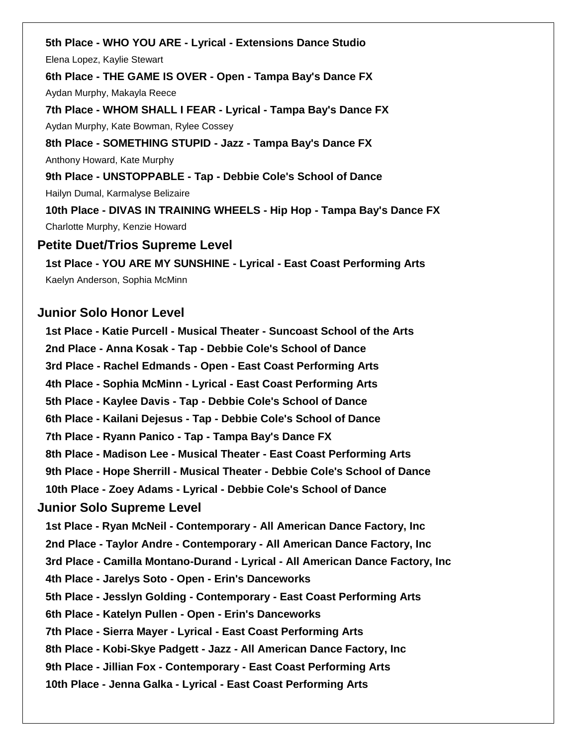**5th Place - WHO YOU ARE - Lyrical - Extensions Dance Studio** Elena Lopez, Kaylie Stewart **6th Place - THE GAME IS OVER - Open - Tampa Bay's Dance FX** Aydan Murphy, Makayla Reece **7th Place - WHOM SHALL I FEAR - Lyrical - Tampa Bay's Dance FX** Aydan Murphy, Kate Bowman, Rylee Cossey **8th Place - SOMETHING STUPID - Jazz - Tampa Bay's Dance FX** Anthony Howard, Kate Murphy **9th Place - UNSTOPPABLE - Tap - Debbie Cole's School of Dance** Hailyn Dumal, Karmalyse Belizaire **10th Place - DIVAS IN TRAINING WHEELS - Hip Hop - Tampa Bay's Dance FX** Charlotte Murphy, Kenzie Howard **Petite Duet/Trios Supreme Level 1st Place - YOU ARE MY SUNSHINE - Lyrical - East Coast Performing Arts** Kaelyn Anderson, Sophia McMinn

### **Junior Solo Honor Level**

**1st Place - Katie Purcell - Musical Theater - Suncoast School of the Arts 2nd Place - Anna Kosak - Tap - Debbie Cole's School of Dance 3rd Place - Rachel Edmands - Open - East Coast Performing Arts 4th Place - Sophia McMinn - Lyrical - East Coast Performing Arts 5th Place - Kaylee Davis - Tap - Debbie Cole's School of Dance 6th Place - Kailani Dejesus - Tap - Debbie Cole's School of Dance 7th Place - Ryann Panico - Tap - Tampa Bay's Dance FX 8th Place - Madison Lee - Musical Theater - East Coast Performing Arts 9th Place - Hope Sherrill - Musical Theater - Debbie Cole's School of Dance 10th Place - Zoey Adams - Lyrical - Debbie Cole's School of Dance Junior Solo Supreme Level 1st Place - Ryan McNeil - Contemporary - All American Dance Factory, Inc 2nd Place - Taylor Andre - Contemporary - All American Dance Factory, Inc 3rd Place - Camilla Montano-Durand - Lyrical - All American Dance Factory, Inc 4th Place - Jarelys Soto - Open - Erin's Danceworks 5th Place - Jesslyn Golding - Contemporary - East Coast Performing Arts 6th Place - Katelyn Pullen - Open - Erin's Danceworks 7th Place - Sierra Mayer - Lyrical - East Coast Performing Arts 8th Place - Kobi-Skye Padgett - Jazz - All American Dance Factory, Inc 9th Place - Jillian Fox - Contemporary - East Coast Performing Arts 10th Place - Jenna Galka - Lyrical - East Coast Performing Arts**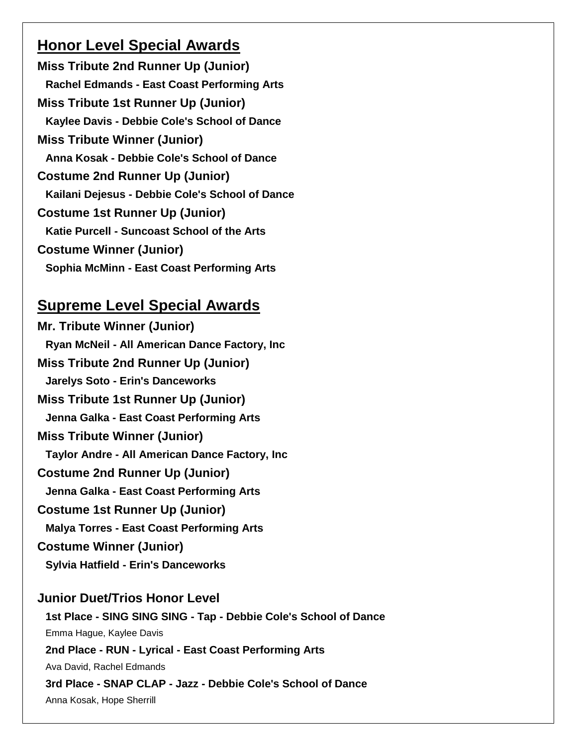## **Honor Level Special Awards**

**Miss Tribute 2nd Runner Up (Junior) Rachel Edmands - East Coast Performing Arts Miss Tribute 1st Runner Up (Junior) Kaylee Davis - Debbie Cole's School of Dance Miss Tribute Winner (Junior) Anna Kosak - Debbie Cole's School of Dance Costume 2nd Runner Up (Junior) Kailani Dejesus - Debbie Cole's School of Dance Costume 1st Runner Up (Junior) Katie Purcell - Suncoast School of the Arts Costume Winner (Junior) Sophia McMinn - East Coast Performing Arts**

## **Supreme Level Special Awards**

**Mr. Tribute Winner (Junior) Ryan McNeil - All American Dance Factory, Inc Miss Tribute 2nd Runner Up (Junior) Jarelys Soto - Erin's Danceworks Miss Tribute 1st Runner Up (Junior) Jenna Galka - East Coast Performing Arts Miss Tribute Winner (Junior) Taylor Andre - All American Dance Factory, Inc Costume 2nd Runner Up (Junior) Jenna Galka - East Coast Performing Arts Costume 1st Runner Up (Junior) Malya Torres - East Coast Performing Arts Costume Winner (Junior)**

**Sylvia Hatfield - Erin's Danceworks**

## **Junior Duet/Trios Honor Level**

**1st Place - SING SING SING - Tap - Debbie Cole's School of Dance** Emma Hague, Kaylee Davis **2nd Place - RUN - Lyrical - East Coast Performing Arts** Ava David, Rachel Edmands **3rd Place - SNAP CLAP - Jazz - Debbie Cole's School of Dance** Anna Kosak, Hope Sherrill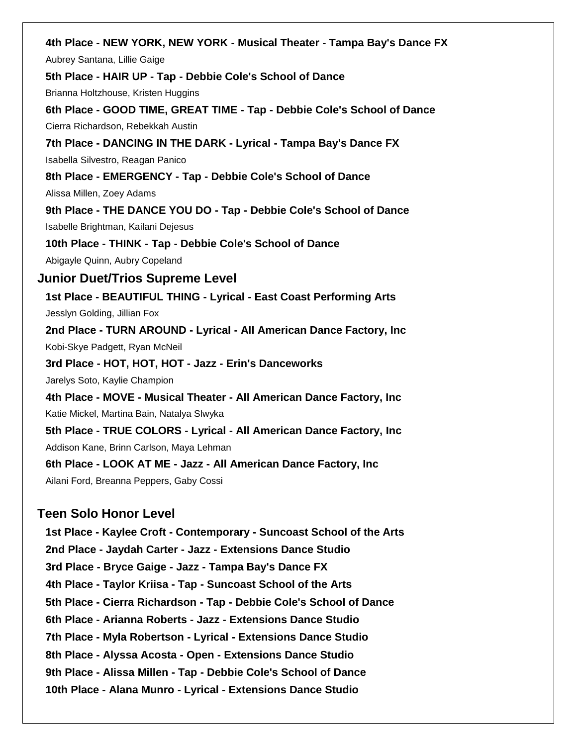**4th Place - NEW YORK, NEW YORK - Musical Theater - Tampa Bay's Dance FX** Aubrey Santana, Lillie Gaige **5th Place - HAIR UP - Tap - Debbie Cole's School of Dance** Brianna Holtzhouse, Kristen Huggins **6th Place - GOOD TIME, GREAT TIME - Tap - Debbie Cole's School of Dance** Cierra Richardson, Rebekkah Austin **7th Place - DANCING IN THE DARK - Lyrical - Tampa Bay's Dance FX** Isabella Silvestro, Reagan Panico **8th Place - EMERGENCY - Tap - Debbie Cole's School of Dance** Alissa Millen, Zoey Adams **9th Place - THE DANCE YOU DO - Tap - Debbie Cole's School of Dance** Isabelle Brightman, Kailani Dejesus **10th Place - THINK - Tap - Debbie Cole's School of Dance** Abigayle Quinn, Aubry Copeland **Junior Duet/Trios Supreme Level 1st Place - BEAUTIFUL THING - Lyrical - East Coast Performing Arts** Jesslyn Golding, Jillian Fox **2nd Place - TURN AROUND - Lyrical - All American Dance Factory, Inc** Kobi-Skye Padgett, Ryan McNeil **3rd Place - HOT, HOT, HOT - Jazz - Erin's Danceworks** Jarelys Soto, Kaylie Champion **4th Place - MOVE - Musical Theater - All American Dance Factory, Inc** Katie Mickel, Martina Bain, Natalya Slwyka **5th Place - TRUE COLORS - Lyrical - All American Dance Factory, Inc** Addison Kane, Brinn Carlson, Maya Lehman **6th Place - LOOK AT ME - Jazz - All American Dance Factory, Inc** Ailani Ford, Breanna Peppers, Gaby Cossi **Teen Solo Honor Level 1st Place - Kaylee Croft - Contemporary - Suncoast School of the Arts 2nd Place - Jaydah Carter - Jazz - Extensions Dance Studio 3rd Place - Bryce Gaige - Jazz - Tampa Bay's Dance FX 4th Place - Taylor Kriisa - Tap - Suncoast School of the Arts 5th Place - Cierra Richardson - Tap - Debbie Cole's School of Dance 6th Place - Arianna Roberts - Jazz - Extensions Dance Studio**

**7th Place - Myla Robertson - Lyrical - Extensions Dance Studio**

**8th Place - Alyssa Acosta - Open - Extensions Dance Studio**

**9th Place - Alissa Millen - Tap - Debbie Cole's School of Dance**

**10th Place - Alana Munro - Lyrical - Extensions Dance Studio**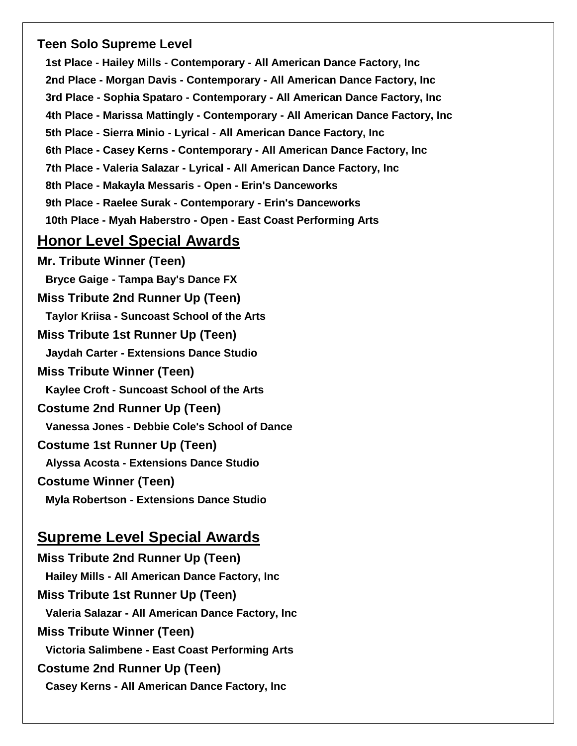## **Teen Solo Supreme Level**

**1st Place - Hailey Mills - Contemporary - All American Dance Factory, Inc 2nd Place - Morgan Davis - Contemporary - All American Dance Factory, Inc 3rd Place - Sophia Spataro - Contemporary - All American Dance Factory, Inc 4th Place - Marissa Mattingly - Contemporary - All American Dance Factory, Inc 5th Place - Sierra Minio - Lyrical - All American Dance Factory, Inc 6th Place - Casey Kerns - Contemporary - All American Dance Factory, Inc 7th Place - Valeria Salazar - Lyrical - All American Dance Factory, Inc 8th Place - Makayla Messaris - Open - Erin's Danceworks 9th Place - Raelee Surak - Contemporary - Erin's Danceworks 10th Place - Myah Haberstro - Open - East Coast Performing Arts**

## **Honor Level Special Awards**

**Mr. Tribute Winner (Teen) Bryce Gaige - Tampa Bay's Dance FX Miss Tribute 2nd Runner Up (Teen) Taylor Kriisa - Suncoast School of the Arts Miss Tribute 1st Runner Up (Teen) Jaydah Carter - Extensions Dance Studio Miss Tribute Winner (Teen) Kaylee Croft - Suncoast School of the Arts Costume 2nd Runner Up (Teen) Vanessa Jones - Debbie Cole's School of Dance Costume 1st Runner Up (Teen) Alyssa Acosta - Extensions Dance Studio Costume Winner (Teen) Myla Robertson - Extensions Dance Studio**

## **Supreme Level Special Awards**

**Miss Tribute 2nd Runner Up (Teen) Hailey Mills - All American Dance Factory, Inc Miss Tribute 1st Runner Up (Teen) Valeria Salazar - All American Dance Factory, Inc Miss Tribute Winner (Teen) Victoria Salimbene - East Coast Performing Arts Costume 2nd Runner Up (Teen) Casey Kerns - All American Dance Factory, Inc**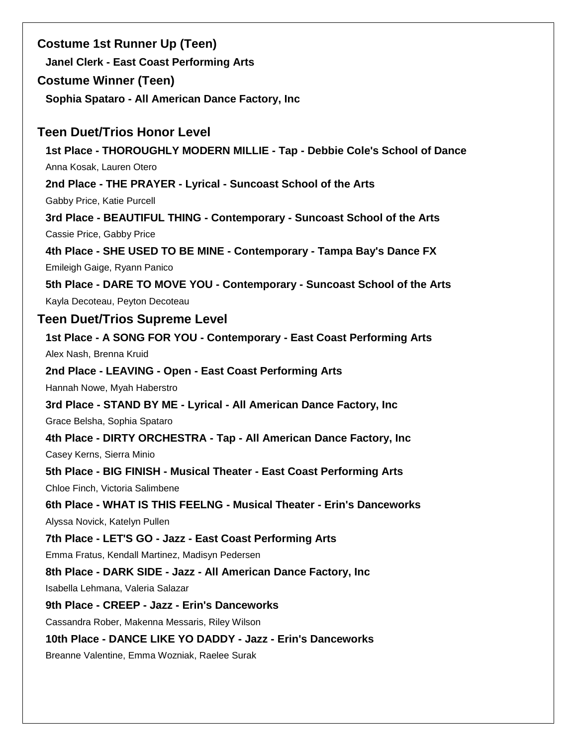| <b>Costume 1st Runner Up (Teen)</b><br><b>Janel Clerk - East Coast Performing Arts</b>                |
|-------------------------------------------------------------------------------------------------------|
| <b>Costume Winner (Teen)</b>                                                                          |
| Sophia Spataro - All American Dance Factory, Inc                                                      |
| <b>Teen Duet/Trios Honor Level</b>                                                                    |
| 1st Place - THOROUGHLY MODERN MILLIE - Tap - Debbie Cole's School of Dance                            |
| Anna Kosak, Lauren Otero                                                                              |
| 2nd Place - THE PRAYER - Lyrical - Suncoast School of the Arts                                        |
| Gabby Price, Katie Purcell                                                                            |
| 3rd Place - BEAUTIFUL THING - Contemporary - Suncoast School of the Arts<br>Cassie Price, Gabby Price |
| 4th Place - SHE USED TO BE MINE - Contemporary - Tampa Bay's Dance FX                                 |
| Emileigh Gaige, Ryann Panico                                                                          |
| 5th Place - DARE TO MOVE YOU - Contemporary - Suncoast School of the Arts                             |
| Kayla Decoteau, Peyton Decoteau                                                                       |
| <b>Teen Duet/Trios Supreme Level</b>                                                                  |
| 1st Place - A SONG FOR YOU - Contemporary - East Coast Performing Arts                                |
| Alex Nash, Brenna Kruid                                                                               |
| 2nd Place - LEAVING - Open - East Coast Performing Arts                                               |
| Hannah Nowe, Myah Haberstro                                                                           |
| 3rd Place - STAND BY ME - Lyrical - All American Dance Factory, Inc                                   |
| Grace Belsha, Sophia Spataro                                                                          |
| 4th Place - DIRTY ORCHESTRA - Tap - All American Dance Factory, Inc                                   |
| Casey Kerns, Sierra Minio                                                                             |
| 5th Place - BIG FINISH - Musical Theater - East Coast Performing Arts                                 |
| Chloe Finch, Victoria Salimbene                                                                       |
| 6th Place - WHAT IS THIS FEELNG - Musical Theater - Erin's Danceworks                                 |
| Alyssa Novick, Katelyn Pullen                                                                         |
| 7th Place - LET'S GO - Jazz - East Coast Performing Arts                                              |
| Emma Fratus, Kendall Martinez, Madisyn Pedersen                                                       |
| 8th Place - DARK SIDE - Jazz - All American Dance Factory, Inc                                        |
| Isabella Lehmana, Valeria Salazar                                                                     |
| 9th Place - CREEP - Jazz - Erin's Danceworks                                                          |
| Cassandra Rober, Makenna Messaris, Riley Wilson                                                       |
| 10th Place - DANCE LIKE YO DADDY - Jazz - Erin's Danceworks                                           |
| Breanne Valentine, Emma Wozniak, Raelee Surak                                                         |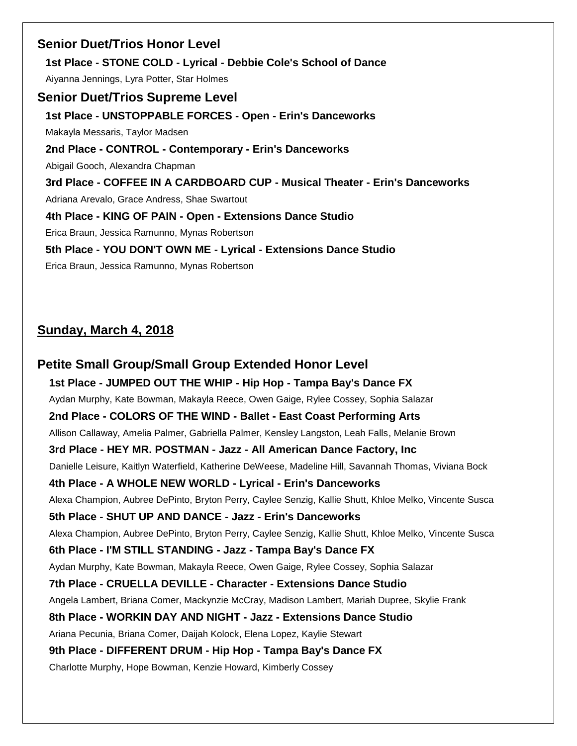**Senior Duet/Trios Honor Level 1st Place - STONE COLD - Lyrical - Debbie Cole's School of Dance** Aiyanna Jennings, Lyra Potter, Star Holmes **Senior Duet/Trios Supreme Level 1st Place - UNSTOPPABLE FORCES - Open - Erin's Danceworks** Makayla Messaris, Taylor Madsen **2nd Place - CONTROL - Contemporary - Erin's Danceworks** Abigail Gooch, Alexandra Chapman **3rd Place - COFFEE IN A CARDBOARD CUP - Musical Theater - Erin's Danceworks** Adriana Arevalo, Grace Andress, Shae Swartout **4th Place - KING OF PAIN - Open - Extensions Dance Studio** Erica Braun, Jessica Ramunno, Mynas Robertson **5th Place - YOU DON'T OWN ME - Lyrical - Extensions Dance Studio** Erica Braun, Jessica Ramunno, Mynas Robertson

## **Sunday, March 4, 2018**

**Petite Small Group/Small Group Extended Honor Level 1st Place - JUMPED OUT THE WHIP - Hip Hop - Tampa Bay's Dance FX** Aydan Murphy, Kate Bowman, Makayla Reece, Owen Gaige, Rylee Cossey, Sophia Salazar **2nd Place - COLORS OF THE WIND - Ballet - East Coast Performing Arts** Allison Callaway, Amelia Palmer, Gabriella Palmer, Kensley Langston, Leah Falls, Melanie Brown **3rd Place - HEY MR. POSTMAN - Jazz - All American Dance Factory, Inc** Danielle Leisure, Kaitlyn Waterfield, Katherine DeWeese, Madeline Hill, Savannah Thomas, Viviana Bock **4th Place - A WHOLE NEW WORLD - Lyrical - Erin's Danceworks** Alexa Champion, Aubree DePinto, Bryton Perry, Caylee Senzig, Kallie Shutt, Khloe Melko, Vincente Susca **5th Place - SHUT UP AND DANCE - Jazz - Erin's Danceworks** Alexa Champion, Aubree DePinto, Bryton Perry, Caylee Senzig, Kallie Shutt, Khloe Melko, Vincente Susca **6th Place - I'M STILL STANDING - Jazz - Tampa Bay's Dance FX** Aydan Murphy, Kate Bowman, Makayla Reece, Owen Gaige, Rylee Cossey, Sophia Salazar **7th Place - CRUELLA DEVILLE - Character - Extensions Dance Studio** Angela Lambert, Briana Comer, Mackynzie McCray, Madison Lambert, Mariah Dupree, Skylie Frank **8th Place - WORKIN DAY AND NIGHT - Jazz - Extensions Dance Studio** Ariana Pecunia, Briana Comer, Daijah Kolock, Elena Lopez, Kaylie Stewart **9th Place - DIFFERENT DRUM - Hip Hop - Tampa Bay's Dance FX** Charlotte Murphy, Hope Bowman, Kenzie Howard, Kimberly Cossey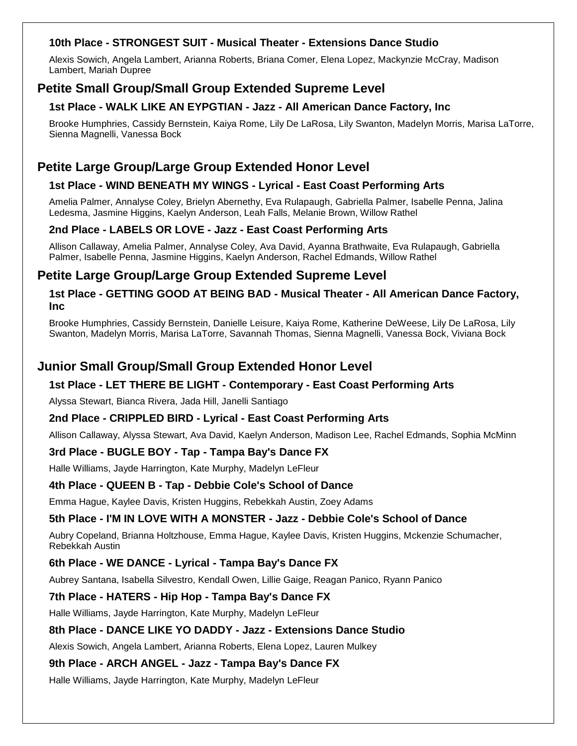#### **10th Place - STRONGEST SUIT - Musical Theater - Extensions Dance Studio**

Alexis Sowich, Angela Lambert, Arianna Roberts, Briana Comer, Elena Lopez, Mackynzie McCray, Madison Lambert, Mariah Dupree

## **Petite Small Group/Small Group Extended Supreme Level**

#### **1st Place - WALK LIKE AN EYPGTIAN - Jazz - All American Dance Factory, Inc**

Brooke Humphries, Cassidy Bernstein, Kaiya Rome, Lily De LaRosa, Lily Swanton, Madelyn Morris, Marisa LaTorre, Sienna Magnelli, Vanessa Bock

## **Petite Large Group/Large Group Extended Honor Level**

#### **1st Place - WIND BENEATH MY WINGS - Lyrical - East Coast Performing Arts**

Amelia Palmer, Annalyse Coley, Brielyn Abernethy, Eva Rulapaugh, Gabriella Palmer, Isabelle Penna, Jalina Ledesma, Jasmine Higgins, Kaelyn Anderson, Leah Falls, Melanie Brown, Willow Rathel

#### **2nd Place - LABELS OR LOVE - Jazz - East Coast Performing Arts**

Allison Callaway, Amelia Palmer, Annalyse Coley, Ava David, Ayanna Brathwaite, Eva Rulapaugh, Gabriella Palmer, Isabelle Penna, Jasmine Higgins, Kaelyn Anderson, Rachel Edmands, Willow Rathel

## **Petite Large Group/Large Group Extended Supreme Level**

#### **1st Place - GETTING GOOD AT BEING BAD - Musical Theater - All American Dance Factory, Inc**

Brooke Humphries, Cassidy Bernstein, Danielle Leisure, Kaiya Rome, Katherine DeWeese, Lily De LaRosa, Lily Swanton, Madelyn Morris, Marisa LaTorre, Savannah Thomas, Sienna Magnelli, Vanessa Bock, Viviana Bock

## **Junior Small Group/Small Group Extended Honor Level**

#### **1st Place - LET THERE BE LIGHT - Contemporary - East Coast Performing Arts**

Alyssa Stewart, Bianca Rivera, Jada Hill, Janelli Santiago

#### **2nd Place - CRIPPLED BIRD - Lyrical - East Coast Performing Arts**

Allison Callaway, Alyssa Stewart, Ava David, Kaelyn Anderson, Madison Lee, Rachel Edmands, Sophia McMinn

#### **3rd Place - BUGLE BOY - Tap - Tampa Bay's Dance FX**

Halle Williams, Jayde Harrington, Kate Murphy, Madelyn LeFleur

#### **4th Place - QUEEN B - Tap - Debbie Cole's School of Dance**

Emma Hague, Kaylee Davis, Kristen Huggins, Rebekkah Austin, Zoey Adams

#### **5th Place - I'M IN LOVE WITH A MONSTER - Jazz - Debbie Cole's School of Dance**

Aubry Copeland, Brianna Holtzhouse, Emma Hague, Kaylee Davis, Kristen Huggins, Mckenzie Schumacher, Rebekkah Austin

#### **6th Place - WE DANCE - Lyrical - Tampa Bay's Dance FX**

Aubrey Santana, Isabella Silvestro, Kendall Owen, Lillie Gaige, Reagan Panico, Ryann Panico

#### **7th Place - HATERS - Hip Hop - Tampa Bay's Dance FX**

Halle Williams, Jayde Harrington, Kate Murphy, Madelyn LeFleur

#### **8th Place - DANCE LIKE YO DADDY - Jazz - Extensions Dance Studio**

Alexis Sowich, Angela Lambert, Arianna Roberts, Elena Lopez, Lauren Mulkey

#### **9th Place - ARCH ANGEL - Jazz - Tampa Bay's Dance FX**

Halle Williams, Jayde Harrington, Kate Murphy, Madelyn LeFleur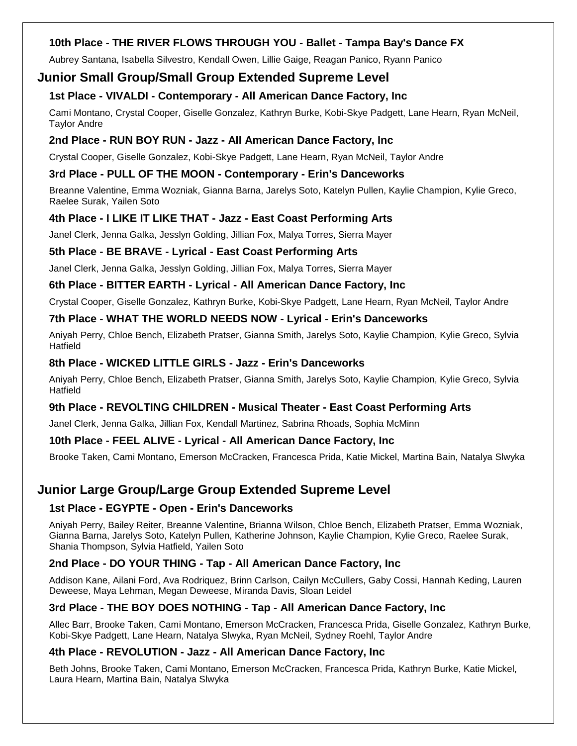#### **10th Place - THE RIVER FLOWS THROUGH YOU - Ballet - Tampa Bay's Dance FX**

Aubrey Santana, Isabella Silvestro, Kendall Owen, Lillie Gaige, Reagan Panico, Ryann Panico

### **Junior Small Group/Small Group Extended Supreme Level**

#### **1st Place - VIVALDI - Contemporary - All American Dance Factory, Inc**

Cami Montano, Crystal Cooper, Giselle Gonzalez, Kathryn Burke, Kobi-Skye Padgett, Lane Hearn, Ryan McNeil, Taylor Andre

#### **2nd Place - RUN BOY RUN - Jazz - All American Dance Factory, Inc**

Crystal Cooper, Giselle Gonzalez, Kobi-Skye Padgett, Lane Hearn, Ryan McNeil, Taylor Andre

#### **3rd Place - PULL OF THE MOON - Contemporary - Erin's Danceworks**

Breanne Valentine, Emma Wozniak, Gianna Barna, Jarelys Soto, Katelyn Pullen, Kaylie Champion, Kylie Greco, Raelee Surak, Yailen Soto

#### **4th Place - I LIKE IT LIKE THAT - Jazz - East Coast Performing Arts**

Janel Clerk, Jenna Galka, Jesslyn Golding, Jillian Fox, Malya Torres, Sierra Mayer

#### **5th Place - BE BRAVE - Lyrical - East Coast Performing Arts**

Janel Clerk, Jenna Galka, Jesslyn Golding, Jillian Fox, Malya Torres, Sierra Mayer

#### **6th Place - BITTER EARTH - Lyrical - All American Dance Factory, Inc**

Crystal Cooper, Giselle Gonzalez, Kathryn Burke, Kobi-Skye Padgett, Lane Hearn, Ryan McNeil, Taylor Andre

#### **7th Place - WHAT THE WORLD NEEDS NOW - Lyrical - Erin's Danceworks**

Aniyah Perry, Chloe Bench, Elizabeth Pratser, Gianna Smith, Jarelys Soto, Kaylie Champion, Kylie Greco, Sylvia **Hatfield** 

#### **8th Place - WICKED LITTLE GIRLS - Jazz - Erin's Danceworks**

Aniyah Perry, Chloe Bench, Elizabeth Pratser, Gianna Smith, Jarelys Soto, Kaylie Champion, Kylie Greco, Sylvia **Hatfield** 

#### **9th Place - REVOLTING CHILDREN - Musical Theater - East Coast Performing Arts**

Janel Clerk, Jenna Galka, Jillian Fox, Kendall Martinez, Sabrina Rhoads, Sophia McMinn

#### **10th Place - FEEL ALIVE - Lyrical - All American Dance Factory, Inc**

Brooke Taken, Cami Montano, Emerson McCracken, Francesca Prida, Katie Mickel, Martina Bain, Natalya Slwyka

## **Junior Large Group/Large Group Extended Supreme Level**

#### **1st Place - EGYPTE - Open - Erin's Danceworks**

Aniyah Perry, Bailey Reiter, Breanne Valentine, Brianna Wilson, Chloe Bench, Elizabeth Pratser, Emma Wozniak, Gianna Barna, Jarelys Soto, Katelyn Pullen, Katherine Johnson, Kaylie Champion, Kylie Greco, Raelee Surak, Shania Thompson, Sylvia Hatfield, Yailen Soto

#### **2nd Place - DO YOUR THING - Tap - All American Dance Factory, Inc**

Addison Kane, Ailani Ford, Ava Rodriquez, Brinn Carlson, Cailyn McCullers, Gaby Cossi, Hannah Keding, Lauren Deweese, Maya Lehman, Megan Deweese, Miranda Davis, Sloan Leidel

#### **3rd Place - THE BOY DOES NOTHING - Tap - All American Dance Factory, Inc**

Allec Barr, Brooke Taken, Cami Montano, Emerson McCracken, Francesca Prida, Giselle Gonzalez, Kathryn Burke, Kobi-Skye Padgett, Lane Hearn, Natalya Slwyka, Ryan McNeil, Sydney Roehl, Taylor Andre

#### **4th Place - REVOLUTION - Jazz - All American Dance Factory, Inc**

Beth Johns, Brooke Taken, Cami Montano, Emerson McCracken, Francesca Prida, Kathryn Burke, Katie Mickel, Laura Hearn, Martina Bain, Natalya Slwyka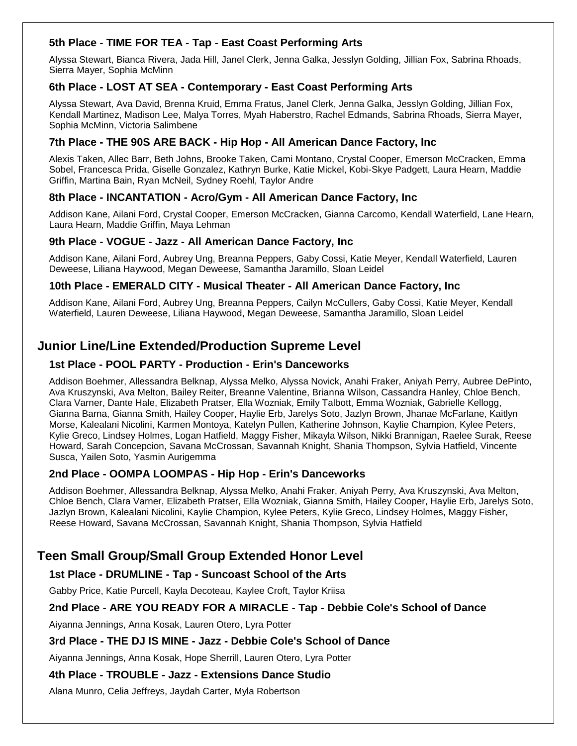#### **5th Place - TIME FOR TEA - Tap - East Coast Performing Arts**

Alyssa Stewart, Bianca Rivera, Jada Hill, Janel Clerk, Jenna Galka, Jesslyn Golding, Jillian Fox, Sabrina Rhoads, Sierra Mayer, Sophia McMinn

#### **6th Place - LOST AT SEA - Contemporary - East Coast Performing Arts**

Alyssa Stewart, Ava David, Brenna Kruid, Emma Fratus, Janel Clerk, Jenna Galka, Jesslyn Golding, Jillian Fox, Kendall Martinez, Madison Lee, Malya Torres, Myah Haberstro, Rachel Edmands, Sabrina Rhoads, Sierra Mayer, Sophia McMinn, Victoria Salimbene

#### **7th Place - THE 90S ARE BACK - Hip Hop - All American Dance Factory, Inc**

Alexis Taken, Allec Barr, Beth Johns, Brooke Taken, Cami Montano, Crystal Cooper, Emerson McCracken, Emma Sobel, Francesca Prida, Giselle Gonzalez, Kathryn Burke, Katie Mickel, Kobi-Skye Padgett, Laura Hearn, Maddie Griffin, Martina Bain, Ryan McNeil, Sydney Roehl, Taylor Andre

#### **8th Place - INCANTATION - Acro/Gym - All American Dance Factory, Inc**

Addison Kane, Ailani Ford, Crystal Cooper, Emerson McCracken, Gianna Carcomo, Kendall Waterfield, Lane Hearn, Laura Hearn, Maddie Griffin, Maya Lehman

#### **9th Place - VOGUE - Jazz - All American Dance Factory, Inc**

Addison Kane, Ailani Ford, Aubrey Ung, Breanna Peppers, Gaby Cossi, Katie Meyer, Kendall Waterfield, Lauren Deweese, Liliana Haywood, Megan Deweese, Samantha Jaramillo, Sloan Leidel

#### **10th Place - EMERALD CITY - Musical Theater - All American Dance Factory, Inc**

Addison Kane, Ailani Ford, Aubrey Ung, Breanna Peppers, Cailyn McCullers, Gaby Cossi, Katie Meyer, Kendall Waterfield, Lauren Deweese, Liliana Haywood, Megan Deweese, Samantha Jaramillo, Sloan Leidel

## **Junior Line/Line Extended/Production Supreme Level**

#### **1st Place - POOL PARTY - Production - Erin's Danceworks**

Addison Boehmer, Allessandra Belknap, Alyssa Melko, Alyssa Novick, Anahi Fraker, Aniyah Perry, Aubree DePinto, Ava Kruszynski, Ava Melton, Bailey Reiter, Breanne Valentine, Brianna Wilson, Cassandra Hanley, Chloe Bench, Clara Varner, Dante Hale, Elizabeth Pratser, Ella Wozniak, Emily Talbott, Emma Wozniak, Gabrielle Kellogg, Gianna Barna, Gianna Smith, Hailey Cooper, Haylie Erb, Jarelys Soto, Jazlyn Brown, Jhanae McFarlane, Kaitlyn Morse, Kalealani Nicolini, Karmen Montoya, Katelyn Pullen, Katherine Johnson, Kaylie Champion, Kylee Peters, Kylie Greco, Lindsey Holmes, Logan Hatfield, Maggy Fisher, Mikayla Wilson, Nikki Brannigan, Raelee Surak, Reese Howard, Sarah Concepcion, Savana McCrossan, Savannah Knight, Shania Thompson, Sylvia Hatfield, Vincente Susca, Yailen Soto, Yasmin Aurigemma

#### **2nd Place - OOMPA LOOMPAS - Hip Hop - Erin's Danceworks**

Addison Boehmer, Allessandra Belknap, Alyssa Melko, Anahi Fraker, Aniyah Perry, Ava Kruszynski, Ava Melton, Chloe Bench, Clara Varner, Elizabeth Pratser, Ella Wozniak, Gianna Smith, Hailey Cooper, Haylie Erb, Jarelys Soto, Jazlyn Brown, Kalealani Nicolini, Kaylie Champion, Kylee Peters, Kylie Greco, Lindsey Holmes, Maggy Fisher, Reese Howard, Savana McCrossan, Savannah Knight, Shania Thompson, Sylvia Hatfield

## **Teen Small Group/Small Group Extended Honor Level**

#### **1st Place - DRUMLINE - Tap - Suncoast School of the Arts**

Gabby Price, Katie Purcell, Kayla Decoteau, Kaylee Croft, Taylor Kriisa

#### **2nd Place - ARE YOU READY FOR A MIRACLE - Tap - Debbie Cole's School of Dance**

Aiyanna Jennings, Anna Kosak, Lauren Otero, Lyra Potter

#### **3rd Place - THE DJ IS MINE - Jazz - Debbie Cole's School of Dance**

Aiyanna Jennings, Anna Kosak, Hope Sherrill, Lauren Otero, Lyra Potter

#### **4th Place - TROUBLE - Jazz - Extensions Dance Studio**

Alana Munro, Celia Jeffreys, Jaydah Carter, Myla Robertson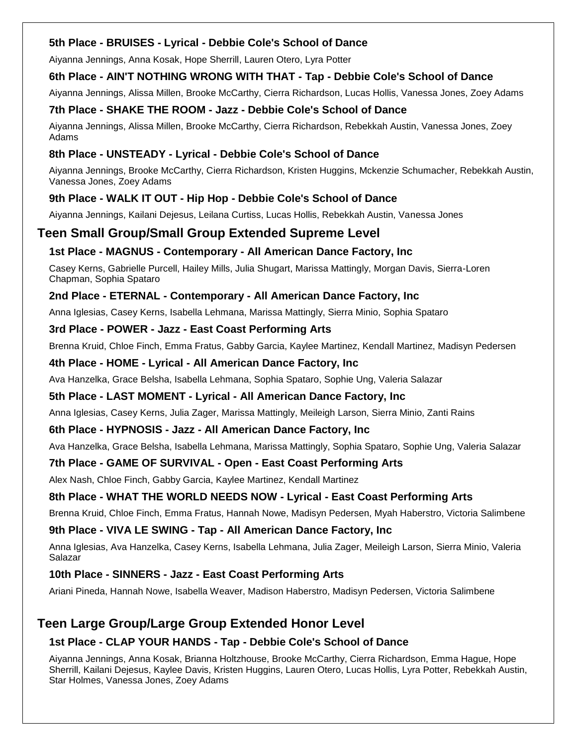#### **5th Place - BRUISES - Lyrical - Debbie Cole's School of Dance**

Aiyanna Jennings, Anna Kosak, Hope Sherrill, Lauren Otero, Lyra Potter

### **6th Place - AIN'T NOTHING WRONG WITH THAT - Tap - Debbie Cole's School of Dance**

Aiyanna Jennings, Alissa Millen, Brooke McCarthy, Cierra Richardson, Lucas Hollis, Vanessa Jones, Zoey Adams

#### **7th Place - SHAKE THE ROOM - Jazz - Debbie Cole's School of Dance**

Aiyanna Jennings, Alissa Millen, Brooke McCarthy, Cierra Richardson, Rebekkah Austin, Vanessa Jones, Zoey Adams

### **8th Place - UNSTEADY - Lyrical - Debbie Cole's School of Dance**

Aiyanna Jennings, Brooke McCarthy, Cierra Richardson, Kristen Huggins, Mckenzie Schumacher, Rebekkah Austin, Vanessa Jones, Zoey Adams

## **9th Place - WALK IT OUT - Hip Hop - Debbie Cole's School of Dance**

Aiyanna Jennings, Kailani Dejesus, Leilana Curtiss, Lucas Hollis, Rebekkah Austin, Vanessa Jones

## **Teen Small Group/Small Group Extended Supreme Level**

#### **1st Place - MAGNUS - Contemporary - All American Dance Factory, Inc**

Casey Kerns, Gabrielle Purcell, Hailey Mills, Julia Shugart, Marissa Mattingly, Morgan Davis, Sierra-Loren Chapman, Sophia Spataro

#### **2nd Place - ETERNAL - Contemporary - All American Dance Factory, Inc**

Anna Iglesias, Casey Kerns, Isabella Lehmana, Marissa Mattingly, Sierra Minio, Sophia Spataro

#### **3rd Place - POWER - Jazz - East Coast Performing Arts**

Brenna Kruid, Chloe Finch, Emma Fratus, Gabby Garcia, Kaylee Martinez, Kendall Martinez, Madisyn Pedersen

#### **4th Place - HOME - Lyrical - All American Dance Factory, Inc**

Ava Hanzelka, Grace Belsha, Isabella Lehmana, Sophia Spataro, Sophie Ung, Valeria Salazar

#### **5th Place - LAST MOMENT - Lyrical - All American Dance Factory, Inc**

Anna Iglesias, Casey Kerns, Julia Zager, Marissa Mattingly, Meileigh Larson, Sierra Minio, Zanti Rains

#### **6th Place - HYPNOSIS - Jazz - All American Dance Factory, Inc**

Ava Hanzelka, Grace Belsha, Isabella Lehmana, Marissa Mattingly, Sophia Spataro, Sophie Ung, Valeria Salazar

#### **7th Place - GAME OF SURVIVAL - Open - East Coast Performing Arts**

Alex Nash, Chloe Finch, Gabby Garcia, Kaylee Martinez, Kendall Martinez

#### **8th Place - WHAT THE WORLD NEEDS NOW - Lyrical - East Coast Performing Arts**

Brenna Kruid, Chloe Finch, Emma Fratus, Hannah Nowe, Madisyn Pedersen, Myah Haberstro, Victoria Salimbene

#### **9th Place - VIVA LE SWING - Tap - All American Dance Factory, Inc**

Anna Iglesias, Ava Hanzelka, Casey Kerns, Isabella Lehmana, Julia Zager, Meileigh Larson, Sierra Minio, Valeria Salazar

#### **10th Place - SINNERS - Jazz - East Coast Performing Arts**

Ariani Pineda, Hannah Nowe, Isabella Weaver, Madison Haberstro, Madisyn Pedersen, Victoria Salimbene

## **Teen Large Group/Large Group Extended Honor Level**

#### **1st Place - CLAP YOUR HANDS - Tap - Debbie Cole's School of Dance**

Aiyanna Jennings, Anna Kosak, Brianna Holtzhouse, Brooke McCarthy, Cierra Richardson, Emma Hague, Hope Sherrill, Kailani Dejesus, Kaylee Davis, Kristen Huggins, Lauren Otero, Lucas Hollis, Lyra Potter, Rebekkah Austin, Star Holmes, Vanessa Jones, Zoey Adams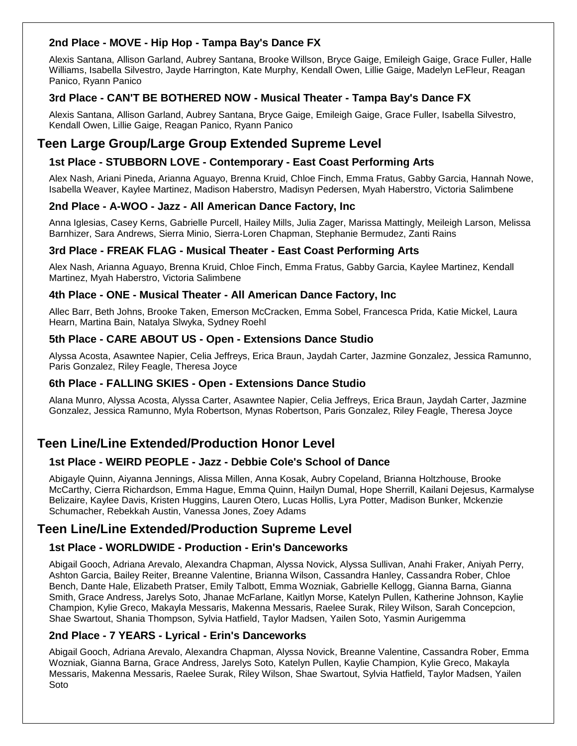#### **2nd Place - MOVE - Hip Hop - Tampa Bay's Dance FX**

Alexis Santana, Allison Garland, Aubrey Santana, Brooke Willson, Bryce Gaige, Emileigh Gaige, Grace Fuller, Halle Williams, Isabella Silvestro, Jayde Harrington, Kate Murphy, Kendall Owen, Lillie Gaige, Madelyn LeFleur, Reagan Panico, Ryann Panico

### **3rd Place - CAN'T BE BOTHERED NOW - Musical Theater - Tampa Bay's Dance FX**

Alexis Santana, Allison Garland, Aubrey Santana, Bryce Gaige, Emileigh Gaige, Grace Fuller, Isabella Silvestro, Kendall Owen, Lillie Gaige, Reagan Panico, Ryann Panico

## **Teen Large Group/Large Group Extended Supreme Level**

### **1st Place - STUBBORN LOVE - Contemporary - East Coast Performing Arts**

Alex Nash, Ariani Pineda, Arianna Aguayo, Brenna Kruid, Chloe Finch, Emma Fratus, Gabby Garcia, Hannah Nowe, Isabella Weaver, Kaylee Martinez, Madison Haberstro, Madisyn Pedersen, Myah Haberstro, Victoria Salimbene

#### **2nd Place - A-WOO - Jazz - All American Dance Factory, Inc**

Anna Iglesias, Casey Kerns, Gabrielle Purcell, Hailey Mills, Julia Zager, Marissa Mattingly, Meileigh Larson, Melissa Barnhizer, Sara Andrews, Sierra Minio, Sierra-Loren Chapman, Stephanie Bermudez, Zanti Rains

#### **3rd Place - FREAK FLAG - Musical Theater - East Coast Performing Arts**

Alex Nash, Arianna Aguayo, Brenna Kruid, Chloe Finch, Emma Fratus, Gabby Garcia, Kaylee Martinez, Kendall Martinez, Myah Haberstro, Victoria Salimbene

#### **4th Place - ONE - Musical Theater - All American Dance Factory, Inc**

Allec Barr, Beth Johns, Brooke Taken, Emerson McCracken, Emma Sobel, Francesca Prida, Katie Mickel, Laura Hearn, Martina Bain, Natalya Slwyka, Sydney Roehl

#### **5th Place - CARE ABOUT US - Open - Extensions Dance Studio**

Alyssa Acosta, Asawntee Napier, Celia Jeffreys, Erica Braun, Jaydah Carter, Jazmine Gonzalez, Jessica Ramunno, Paris Gonzalez, Riley Feagle, Theresa Joyce

#### **6th Place - FALLING SKIES - Open - Extensions Dance Studio**

Alana Munro, Alyssa Acosta, Alyssa Carter, Asawntee Napier, Celia Jeffreys, Erica Braun, Jaydah Carter, Jazmine Gonzalez, Jessica Ramunno, Myla Robertson, Mynas Robertson, Paris Gonzalez, Riley Feagle, Theresa Joyce

## **Teen Line/Line Extended/Production Honor Level**

#### **1st Place - WEIRD PEOPLE - Jazz - Debbie Cole's School of Dance**

Abigayle Quinn, Aiyanna Jennings, Alissa Millen, Anna Kosak, Aubry Copeland, Brianna Holtzhouse, Brooke McCarthy, Cierra Richardson, Emma Hague, Emma Quinn, Hailyn Dumal, Hope Sherrill, Kailani Dejesus, Karmalyse Belizaire, Kaylee Davis, Kristen Huggins, Lauren Otero, Lucas Hollis, Lyra Potter, Madison Bunker, Mckenzie Schumacher, Rebekkah Austin, Vanessa Jones, Zoey Adams

## **Teen Line/Line Extended/Production Supreme Level**

#### **1st Place - WORLDWIDE - Production - Erin's Danceworks**

Abigail Gooch, Adriana Arevalo, Alexandra Chapman, Alyssa Novick, Alyssa Sullivan, Anahi Fraker, Aniyah Perry, Ashton Garcia, Bailey Reiter, Breanne Valentine, Brianna Wilson, Cassandra Hanley, Cassandra Rober, Chloe Bench, Dante Hale, Elizabeth Pratser, Emily Talbott, Emma Wozniak, Gabrielle Kellogg, Gianna Barna, Gianna Smith, Grace Andress, Jarelys Soto, Jhanae McFarlane, Kaitlyn Morse, Katelyn Pullen, Katherine Johnson, Kaylie Champion, Kylie Greco, Makayla Messaris, Makenna Messaris, Raelee Surak, Riley Wilson, Sarah Concepcion, Shae Swartout, Shania Thompson, Sylvia Hatfield, Taylor Madsen, Yailen Soto, Yasmin Aurigemma

#### **2nd Place - 7 YEARS - Lyrical - Erin's Danceworks**

Abigail Gooch, Adriana Arevalo, Alexandra Chapman, Alyssa Novick, Breanne Valentine, Cassandra Rober, Emma Wozniak, Gianna Barna, Grace Andress, Jarelys Soto, Katelyn Pullen, Kaylie Champion, Kylie Greco, Makayla Messaris, Makenna Messaris, Raelee Surak, Riley Wilson, Shae Swartout, Sylvia Hatfield, Taylor Madsen, Yailen Soto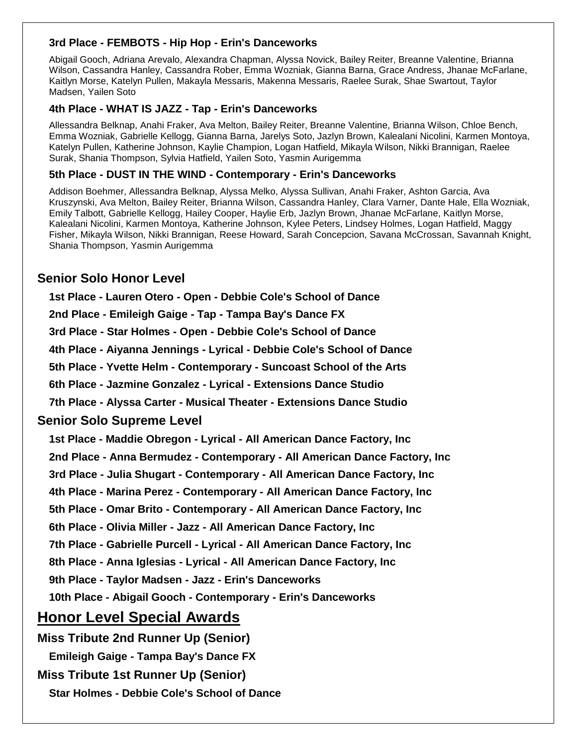#### **3rd Place - FEMBOTS - Hip Hop - Erin's Danceworks**

Abigail Gooch, Adriana Arevalo, Alexandra Chapman, Alyssa Novick, Bailey Reiter, Breanne Valentine, Brianna Wilson, Cassandra Hanley, Cassandra Rober, Emma Wozniak, Gianna Barna, Grace Andress, Jhanae McFarlane, Kaitlyn Morse, Katelyn Pullen, Makayla Messaris, Makenna Messaris, Raelee Surak, Shae Swartout, Taylor Madsen, Yailen Soto

#### **4th Place - WHAT IS JAZZ - Tap - Erin's Danceworks**

Allessandra Belknap, Anahi Fraker, Ava Melton, Bailey Reiter, Breanne Valentine, Brianna Wilson, Chloe Bench, Emma Wozniak, Gabrielle Kellogg, Gianna Barna, Jarelys Soto, Jazlyn Brown, Kalealani Nicolini, Karmen Montoya, Katelyn Pullen, Katherine Johnson, Kaylie Champion, Logan Hatfield, Mikayla Wilson, Nikki Brannigan, Raelee Surak, Shania Thompson, Sylvia Hatfield, Yailen Soto, Yasmin Aurigemma

#### **5th Place - DUST IN THE WIND - Contemporary - Erin's Danceworks**

Addison Boehmer, Allessandra Belknap, Alyssa Melko, Alyssa Sullivan, Anahi Fraker, Ashton Garcia, Ava Kruszynski, Ava Melton, Bailey Reiter, Brianna Wilson, Cassandra Hanley, Clara Varner, Dante Hale, Ella Wozniak, Emily Talbott, Gabrielle Kellogg, Hailey Cooper, Haylie Erb, Jazlyn Brown, Jhanae McFarlane, Kaitlyn Morse, Kalealani Nicolini, Karmen Montoya, Katherine Johnson, Kylee Peters, Lindsey Holmes, Logan Hatfield, Maggy Fisher, Mikayla Wilson, Nikki Brannigan, Reese Howard, Sarah Concepcion, Savana McCrossan, Savannah Knight, Shania Thompson, Yasmin Aurigemma

## **Senior Solo Honor Level**

**1st Place - Lauren Otero - Open - Debbie Cole's School of Dance**

**2nd Place - Emileigh Gaige - Tap - Tampa Bay's Dance FX**

**3rd Place - Star Holmes - Open - Debbie Cole's School of Dance**

**4th Place - Aiyanna Jennings - Lyrical - Debbie Cole's School of Dance**

**5th Place - Yvette Helm - Contemporary - Suncoast School of the Arts**

**6th Place - Jazmine Gonzalez - Lyrical - Extensions Dance Studio**

**7th Place - Alyssa Carter - Musical Theater - Extensions Dance Studio**

#### **Senior Solo Supreme Level**

**1st Place - Maddie Obregon - Lyrical - All American Dance Factory, Inc**

**2nd Place - Anna Bermudez - Contemporary - All American Dance Factory, Inc**

**3rd Place - Julia Shugart - Contemporary - All American Dance Factory, Inc**

**4th Place - Marina Perez - Contemporary - All American Dance Factory, Inc**

**5th Place - Omar Brito - Contemporary - All American Dance Factory, Inc**

**6th Place - Olivia Miller - Jazz - All American Dance Factory, Inc**

**7th Place - Gabrielle Purcell - Lyrical - All American Dance Factory, Inc**

**8th Place - Anna Iglesias - Lyrical - All American Dance Factory, Inc**

**9th Place - Taylor Madsen - Jazz - Erin's Danceworks**

**10th Place - Abigail Gooch - Contemporary - Erin's Danceworks**

## **Honor Level Special Awards**

**Miss Tribute 2nd Runner Up (Senior)**

**Emileigh Gaige - Tampa Bay's Dance FX**

**Miss Tribute 1st Runner Up (Senior)**

**Star Holmes - Debbie Cole's School of Dance**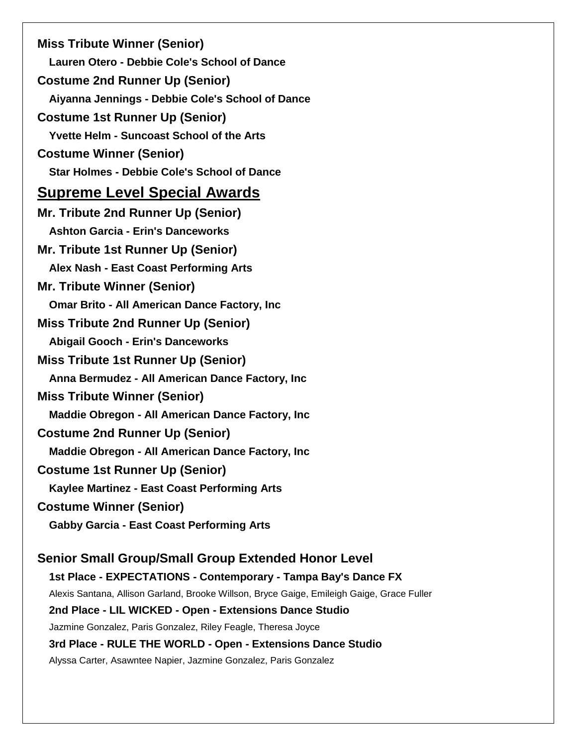**Miss Tribute Winner (Senior) Lauren Otero - Debbie Cole's School of Dance Costume 2nd Runner Up (Senior) Aiyanna Jennings - Debbie Cole's School of Dance Costume 1st Runner Up (Senior) Yvette Helm - Suncoast School of the Arts Costume Winner (Senior) Star Holmes - Debbie Cole's School of Dance Supreme Level Special Awards Mr. Tribute 2nd Runner Up (Senior) Ashton Garcia - Erin's Danceworks Mr. Tribute 1st Runner Up (Senior) Alex Nash - East Coast Performing Arts Mr. Tribute Winner (Senior) Omar Brito - All American Dance Factory, Inc Miss Tribute 2nd Runner Up (Senior) Abigail Gooch - Erin's Danceworks Miss Tribute 1st Runner Up (Senior) Anna Bermudez - All American Dance Factory, Inc Miss Tribute Winner (Senior) Maddie Obregon - All American Dance Factory, Inc Costume 2nd Runner Up (Senior) Maddie Obregon - All American Dance Factory, Inc Costume 1st Runner Up (Senior) Kaylee Martinez - East Coast Performing Arts Costume Winner (Senior) Gabby Garcia - East Coast Performing Arts Senior Small Group/Small Group Extended Honor Level 1st Place - EXPECTATIONS - Contemporary - Tampa Bay's Dance FX** Alexis Santana, Allison Garland, Brooke Willson, Bryce Gaige, Emileigh Gaige, Grace Fuller **2nd Place - LIL WICKED - Open - Extensions Dance Studio** Jazmine Gonzalez, Paris Gonzalez, Riley Feagle, Theresa Joyce **3rd Place - RULE THE WORLD - Open - Extensions Dance Studio** Alyssa Carter, Asawntee Napier, Jazmine Gonzalez, Paris Gonzalez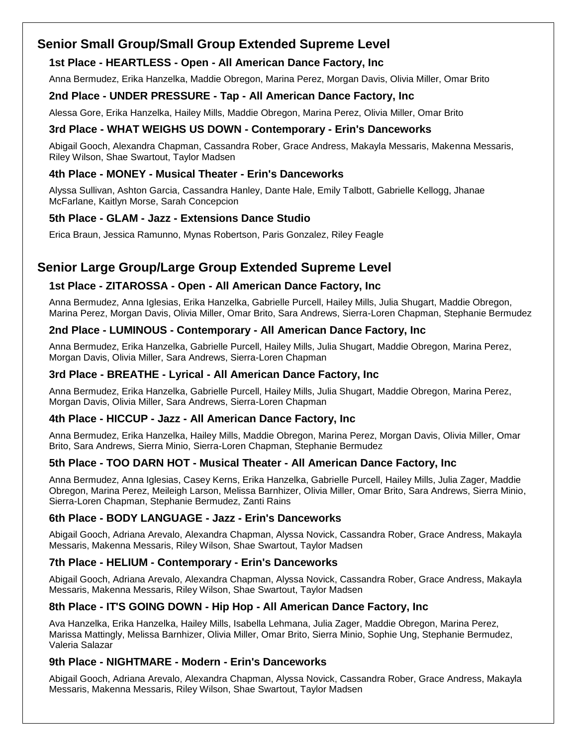## **Senior Small Group/Small Group Extended Supreme Level**

#### **1st Place - HEARTLESS - Open - All American Dance Factory, Inc**

Anna Bermudez, Erika Hanzelka, Maddie Obregon, Marina Perez, Morgan Davis, Olivia Miller, Omar Brito

#### **2nd Place - UNDER PRESSURE - Tap - All American Dance Factory, Inc**

Alessa Gore, Erika Hanzelka, Hailey Mills, Maddie Obregon, Marina Perez, Olivia Miller, Omar Brito

### **3rd Place - WHAT WEIGHS US DOWN - Contemporary - Erin's Danceworks**

Abigail Gooch, Alexandra Chapman, Cassandra Rober, Grace Andress, Makayla Messaris, Makenna Messaris, Riley Wilson, Shae Swartout, Taylor Madsen

#### **4th Place - MONEY - Musical Theater - Erin's Danceworks**

Alyssa Sullivan, Ashton Garcia, Cassandra Hanley, Dante Hale, Emily Talbott, Gabrielle Kellogg, Jhanae McFarlane, Kaitlyn Morse, Sarah Concepcion

### **5th Place - GLAM - Jazz - Extensions Dance Studio**

Erica Braun, Jessica Ramunno, Mynas Robertson, Paris Gonzalez, Riley Feagle

## **Senior Large Group/Large Group Extended Supreme Level**

### **1st Place - ZITAROSSA - Open - All American Dance Factory, Inc**

Anna Bermudez, Anna Iglesias, Erika Hanzelka, Gabrielle Purcell, Hailey Mills, Julia Shugart, Maddie Obregon, Marina Perez, Morgan Davis, Olivia Miller, Omar Brito, Sara Andrews, Sierra-Loren Chapman, Stephanie Bermudez

#### **2nd Place - LUMINOUS - Contemporary - All American Dance Factory, Inc**

Anna Bermudez, Erika Hanzelka, Gabrielle Purcell, Hailey Mills, Julia Shugart, Maddie Obregon, Marina Perez, Morgan Davis, Olivia Miller, Sara Andrews, Sierra-Loren Chapman

#### **3rd Place - BREATHE - Lyrical - All American Dance Factory, Inc**

Anna Bermudez, Erika Hanzelka, Gabrielle Purcell, Hailey Mills, Julia Shugart, Maddie Obregon, Marina Perez, Morgan Davis, Olivia Miller, Sara Andrews, Sierra-Loren Chapman

#### **4th Place - HICCUP - Jazz - All American Dance Factory, Inc**

Anna Bermudez, Erika Hanzelka, Hailey Mills, Maddie Obregon, Marina Perez, Morgan Davis, Olivia Miller, Omar Brito, Sara Andrews, Sierra Minio, Sierra-Loren Chapman, Stephanie Bermudez

#### **5th Place - TOO DARN HOT - Musical Theater - All American Dance Factory, Inc**

Anna Bermudez, Anna Iglesias, Casey Kerns, Erika Hanzelka, Gabrielle Purcell, Hailey Mills, Julia Zager, Maddie Obregon, Marina Perez, Meileigh Larson, Melissa Barnhizer, Olivia Miller, Omar Brito, Sara Andrews, Sierra Minio, Sierra-Loren Chapman, Stephanie Bermudez, Zanti Rains

#### **6th Place - BODY LANGUAGE - Jazz - Erin's Danceworks**

Abigail Gooch, Adriana Arevalo, Alexandra Chapman, Alyssa Novick, Cassandra Rober, Grace Andress, Makayla Messaris, Makenna Messaris, Riley Wilson, Shae Swartout, Taylor Madsen

#### **7th Place - HELIUM - Contemporary - Erin's Danceworks**

Abigail Gooch, Adriana Arevalo, Alexandra Chapman, Alyssa Novick, Cassandra Rober, Grace Andress, Makayla Messaris, Makenna Messaris, Riley Wilson, Shae Swartout, Taylor Madsen

#### **8th Place - IT'S GOING DOWN - Hip Hop - All American Dance Factory, Inc**

Ava Hanzelka, Erika Hanzelka, Hailey Mills, Isabella Lehmana, Julia Zager, Maddie Obregon, Marina Perez, Marissa Mattingly, Melissa Barnhizer, Olivia Miller, Omar Brito, Sierra Minio, Sophie Ung, Stephanie Bermudez, Valeria Salazar

#### **9th Place - NIGHTMARE - Modern - Erin's Danceworks**

Abigail Gooch, Adriana Arevalo, Alexandra Chapman, Alyssa Novick, Cassandra Rober, Grace Andress, Makayla Messaris, Makenna Messaris, Riley Wilson, Shae Swartout, Taylor Madsen